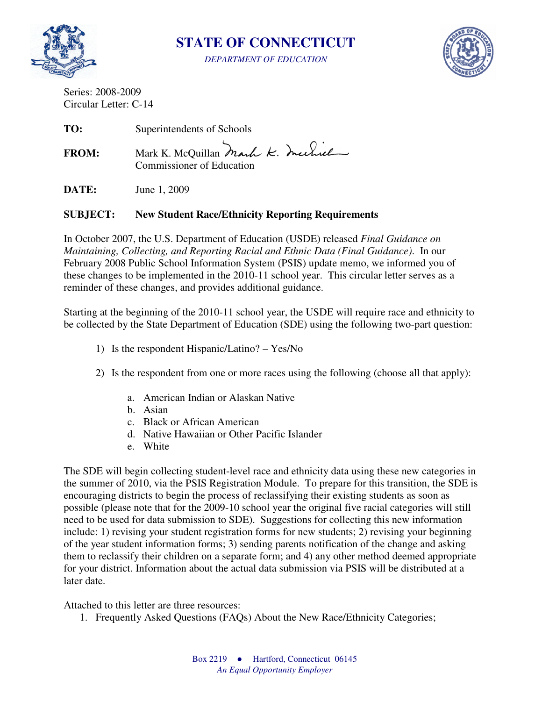

**STATE OF CONNECTICUT** 

*DEPARTMENT OF EDUCATION* 



Series: 2008-2009 Circular Letter: C-14

**TO:** Superintendents of Schools

FROM: Mark K. McQuillan Mark K. Mechiel Commissioner of Education

**DATE:** June 1, 2009

# **SUBJECT: New Student Race/Ethnicity Reporting Requirements**

In October 2007, the U.S. Department of Education (USDE) released *Final Guidance on Maintaining, Collecting, and Reporting Racial and Ethnic Data (Final Guidance)*. In our February 2008 Public School Information System (PSIS) update memo, we informed you of these changes to be implemented in the 2010-11 school year. This circular letter serves as a reminder of these changes, and provides additional guidance.

Starting at the beginning of the 2010-11 school year, the USDE will require race and ethnicity to be collected by the State Department of Education (SDE) using the following two-part question:

- 1) Is the respondent Hispanic/Latino? Yes/No
- 2) Is the respondent from one or more races using the following (choose all that apply):
	- a. American Indian or Alaskan Native
	- b. Asian
	- c. Black or African American
	- d. Native Hawaiian or Other Pacific Islander
	- e. White

The SDE will begin collecting student-level race and ethnicity data using these new categories in the summer of 2010, via the PSIS Registration Module. To prepare for this transition, the SDE is encouraging districts to begin the process of reclassifying their existing students as soon as possible (please note that for the 2009-10 school year the original five racial categories will still need to be used for data submission to SDE). Suggestions for collecting this new information include: 1) revising your student registration forms for new students; 2) revising your beginning of the year student information forms; 3) sending parents notification of the change and asking them to reclassify their children on a separate form; and 4) any other method deemed appropriate for your district. Information about the actual data submission via PSIS will be distributed at a later date.

Attached to this letter are three resources:

1. Frequently Asked Questions (FAQs) About the New Race/Ethnicity Categories;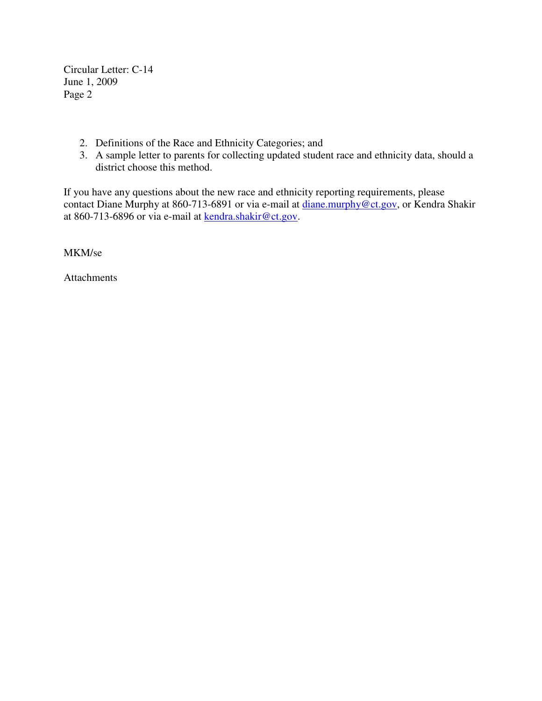Circular Letter: C-14 June 1, 2009 Page 2

- 2. Definitions of the Race and Ethnicity Categories; and
- 3. A sample letter to parents for collecting updated student race and ethnicity data, should a district choose this method.

If you have any questions about the new race and ethnicity reporting requirements, please contact Diane Murphy at 860-713-6891 or via e-mail at diane.murphy@ct.gov, or Kendra Shakir at 860-713-6896 or via e-mail at kendra.shakir@ct.gov.

MKM/se

Attachments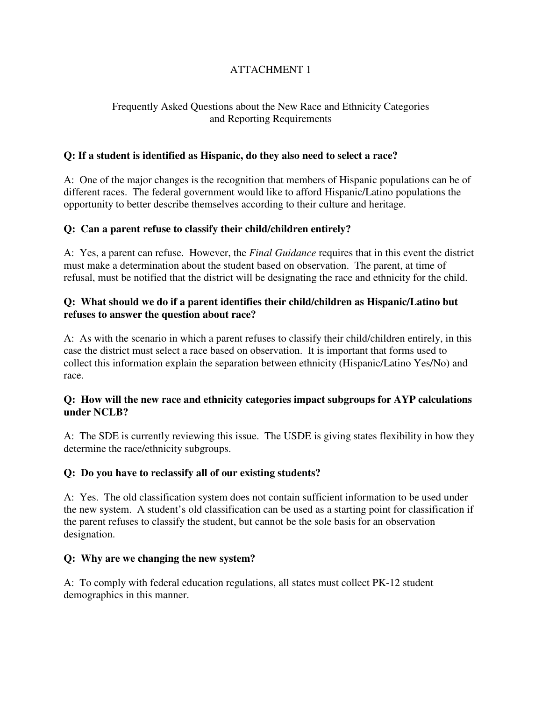# ATTACHMENT 1

# Frequently Asked Questions about the New Race and Ethnicity Categories and Reporting Requirements

# **Q: If a student is identified as Hispanic, do they also need to select a race?**

A: One of the major changes is the recognition that members of Hispanic populations can be of different races. The federal government would like to afford Hispanic/Latino populations the opportunity to better describe themselves according to their culture and heritage.

# **Q: Can a parent refuse to classify their child/children entirely?**

A: Yes, a parent can refuse. However, the *Final Guidance* requires that in this event the district must make a determination about the student based on observation. The parent, at time of refusal, must be notified that the district will be designating the race and ethnicity for the child.

# **Q: What should we do if a parent identifies their child/children as Hispanic/Latino but refuses to answer the question about race?**

A: As with the scenario in which a parent refuses to classify their child/children entirely, in this case the district must select a race based on observation. It is important that forms used to collect this information explain the separation between ethnicity (Hispanic/Latino Yes/No) and race.

# **Q: How will the new race and ethnicity categories impact subgroups for AYP calculations under NCLB?**

A: The SDE is currently reviewing this issue. The USDE is giving states flexibility in how they determine the race/ethnicity subgroups.

# **Q: Do you have to reclassify all of our existing students?**

A: Yes. The old classification system does not contain sufficient information to be used under the new system. A student's old classification can be used as a starting point for classification if the parent refuses to classify the student, but cannot be the sole basis for an observation designation.

# **Q: Why are we changing the new system?**

A: To comply with federal education regulations, all states must collect PK-12 student demographics in this manner.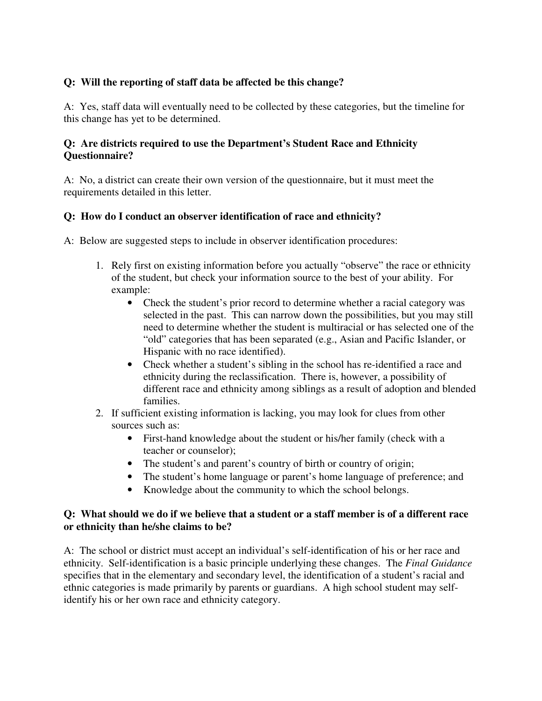# **Q: Will the reporting of staff data be affected be this change?**

A: Yes, staff data will eventually need to be collected by these categories, but the timeline for this change has yet to be determined.

# **Q: Are districts required to use the Department's Student Race and Ethnicity Questionnaire?**

A: No, a district can create their own version of the questionnaire, but it must meet the requirements detailed in this letter.

# **Q: How do I conduct an observer identification of race and ethnicity?**

A: Below are suggested steps to include in observer identification procedures:

- 1. Rely first on existing information before you actually "observe" the race or ethnicity of the student, but check your information source to the best of your ability. For example:
	- Check the student's prior record to determine whether a racial category was selected in the past. This can narrow down the possibilities, but you may still need to determine whether the student is multiracial or has selected one of the "old" categories that has been separated (e.g., Asian and Pacific Islander, or Hispanic with no race identified).
	- Check whether a student's sibling in the school has re-identified a race and ethnicity during the reclassification. There is, however, a possibility of different race and ethnicity among siblings as a result of adoption and blended families.
- 2. If sufficient existing information is lacking, you may look for clues from other sources such as:
	- First-hand knowledge about the student or his/her family (check with a teacher or counselor);
	- The student's and parent's country of birth or country of origin;
	- The student's home language or parent's home language of preference; and
	- Knowledge about the community to which the school belongs.

### **Q: What should we do if we believe that a student or a staff member is of a different race or ethnicity than he/she claims to be?**

A: The school or district must accept an individual's self-identification of his or her race and ethnicity. Self-identification is a basic principle underlying these changes. The *Final Guidance* specifies that in the elementary and secondary level, the identification of a student's racial and ethnic categories is made primarily by parents or guardians. A high school student may selfidentify his or her own race and ethnicity category.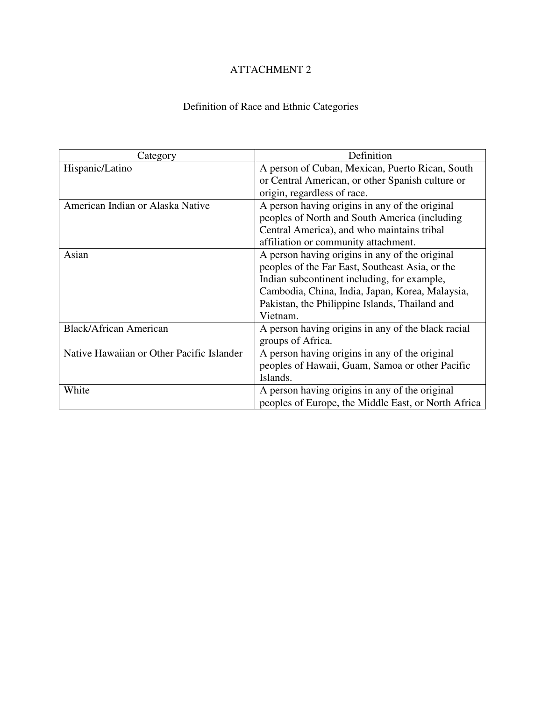# ATTACHMENT 2

# Definition of Race and Ethnic Categories

| Category                                  | Definition                                          |  |  |  |  |
|-------------------------------------------|-----------------------------------------------------|--|--|--|--|
| Hispanic/Latino                           | A person of Cuban, Mexican, Puerto Rican, South     |  |  |  |  |
|                                           | or Central American, or other Spanish culture or    |  |  |  |  |
|                                           | origin, regardless of race.                         |  |  |  |  |
| American Indian or Alaska Native          | A person having origins in any of the original      |  |  |  |  |
|                                           | peoples of North and South America (including       |  |  |  |  |
|                                           | Central America), and who maintains tribal          |  |  |  |  |
|                                           | affiliation or community attachment.                |  |  |  |  |
| Asian                                     | A person having origins in any of the original      |  |  |  |  |
|                                           | peoples of the Far East, Southeast Asia, or the     |  |  |  |  |
|                                           | Indian subcontinent including, for example,         |  |  |  |  |
|                                           | Cambodia, China, India, Japan, Korea, Malaysia,     |  |  |  |  |
|                                           | Pakistan, the Philippine Islands, Thailand and      |  |  |  |  |
|                                           | Vietnam.                                            |  |  |  |  |
| <b>Black/African American</b>             | A person having origins in any of the black racial  |  |  |  |  |
|                                           | groups of Africa.                                   |  |  |  |  |
| Native Hawaiian or Other Pacific Islander | A person having origins in any of the original      |  |  |  |  |
|                                           | peoples of Hawaii, Guam, Samoa or other Pacific     |  |  |  |  |
|                                           | Islands.                                            |  |  |  |  |
| White                                     | A person having origins in any of the original      |  |  |  |  |
|                                           | peoples of Europe, the Middle East, or North Africa |  |  |  |  |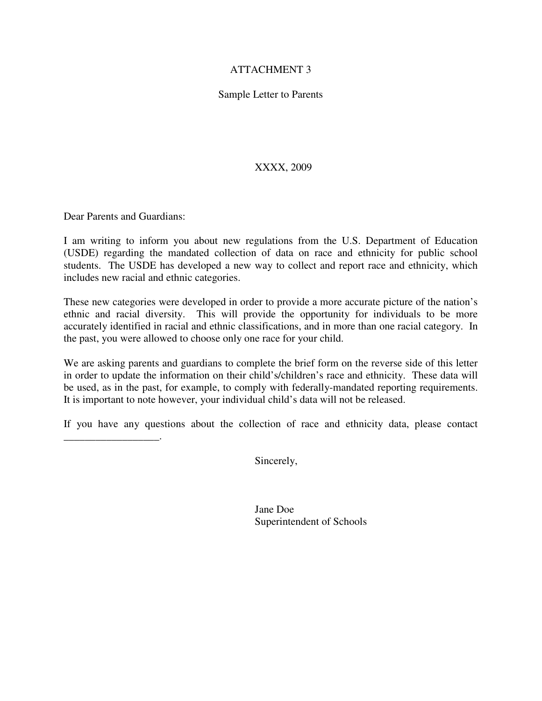#### ATTACHMENT 3

#### Sample Letter to Parents

XXXX, 2009

Dear Parents and Guardians:

\_\_\_\_\_\_\_\_\_\_\_\_\_\_\_\_\_\_.

I am writing to inform you about new regulations from the U.S. Department of Education (USDE) regarding the mandated collection of data on race and ethnicity for public school students. The USDE has developed a new way to collect and report race and ethnicity, which includes new racial and ethnic categories.

These new categories were developed in order to provide a more accurate picture of the nation's ethnic and racial diversity. This will provide the opportunity for individuals to be more accurately identified in racial and ethnic classifications, and in more than one racial category. In the past, you were allowed to choose only one race for your child.

We are asking parents and guardians to complete the brief form on the reverse side of this letter in order to update the information on their child's/children's race and ethnicity. These data will be used, as in the past, for example, to comply with federally-mandated reporting requirements. It is important to note however, your individual child's data will not be released.

If you have any questions about the collection of race and ethnicity data, please contact

Sincerely,

 Jane Doe Superintendent of Schools